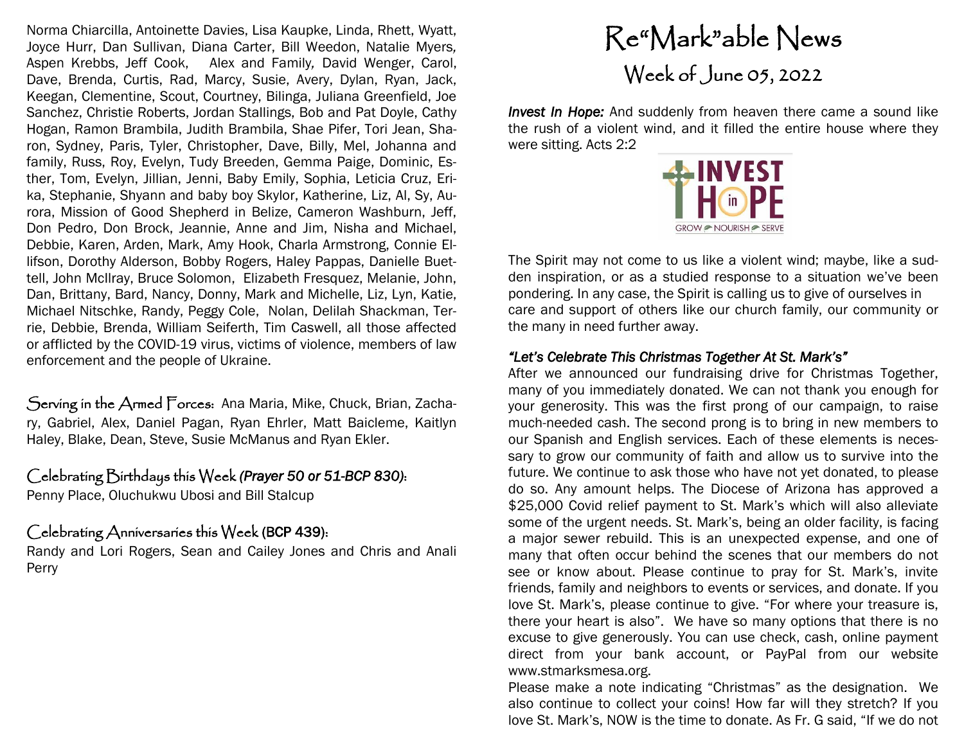Norma Chiarcilla, Antoinette Davies, Lisa Kaupke, Linda, Rhett, Wyatt, Joyce Hurr, Dan Sullivan, Diana Carter, Bill Weedon, Natalie Myers*,*  Aspen Krebbs, Jeff Cook, Alex and Family*,* David Wenger, Carol, Dave, Brenda, Curtis, Rad, Marcy, Susie, Avery, Dylan, Ryan, Jack, Keegan, Clementine, Scout, Courtney, Bilinga, Juliana Greenfield, Joe Sanchez, Christie Roberts, Jordan Stallings, Bob and Pat Doyle, Cathy Hogan, Ramon Brambila, Judith Brambila, Shae Pifer, Tori Jean, Sharon, Sydney, Paris, Tyler, Christopher, Dave, Billy, Mel, Johanna and family, Russ, Roy, Evelyn, Tudy Breeden, Gemma Paige, Dominic, Esther, Tom, Evelyn, Jillian, Jenni, Baby Emily, Sophia, Leticia Cruz, Erika, Stephanie, Shyann and baby boy Skylor, Katherine, Liz, Al, Sy, Aurora, Mission of Good Shepherd in Belize, Cameron Washburn, Jeff, Don Pedro, Don Brock, Jeannie, Anne and Jim, Nisha and Michael, Debbie, Karen, Arden, Mark, Amy Hook, Charla Armstrong, Connie Ellifson, Dorothy Alderson, Bobby Rogers, Haley Pappas, Danielle Buettell, John McIlray, Bruce Solomon, Elizabeth Fresquez, Melanie, John, Dan, Brittany, Bard, Nancy, Donny, Mark and Michelle, Liz, Lyn, Katie, Michael Nitschke, Randy, Peggy Cole, Nolan, Delilah Shackman, Terrie, Debbie, Brenda, William Seiferth, Tim Caswell, all those affected or afflicted by the COVID-19 virus, victims of violence, members of law enforcement and the people of Ukraine.

Serving in the Armed Forces: Ana Maria, Mike, Chuck, Brian, Zachary, Gabriel, Alex, Daniel Pagan, Ryan Ehrler, Matt Baicleme, Kaitlyn Haley, Blake, Dean, Steve, Susie McManus and Ryan Ekler.

### Celebrating Birthdays this Week *(Prayer 50 or 51-BCP 830)*:

Penny Place, Oluchukwu Ubosi and Bill Stalcup

## Celebrating Anniversaries this Week (BCP 439):

Randy and Lori Rogers, Sean and Cailey Jones and Chris and Anali Perry

# Re"Mark"able News Week of June 05, 2022

**Invest In Hope:** And suddenly from heaven there came a sound like the rush of a violent wind, and it filled the entire house where they were sitting. Acts 2:2



The Spirit may not come to us like a violent wind; maybe, like a sudden inspiration, or as a studied response to a situation we've been pondering. In any case, the Spirit is calling us to give of ourselves in care and support of others like our church family, our community or the many in need further away.

#### *"Let's Celebrate This Christmas Together At St. Mark's"*

After we announced our fundraising drive for Christmas Together, many of you immediately donated. We can not thank you enough for your generosity. This was the first prong of our campaign, to raise much-needed cash. The second prong is to bring in new members to our Spanish and English services. Each of these elements is necessary to grow our community of faith and allow us to survive into the future. We continue to ask those who have not yet donated, to please do so. Any amount helps. The Diocese of Arizona has approved a \$25,000 Covid relief payment to St. Mark's which will also alleviate some of the urgent needs. St. Mark's, being an older facility, is facing a major sewer rebuild. This is an unexpected expense, and one of many that often occur behind the scenes that our members do not see or know about. Please continue to pray for St. Mark's, invite friends, family and neighbors to events or services, and donate. If you love St. Mark's, please continue to give. "For where your treasure is, there your heart is also". We have so many options that there is no excuse to give generously. You can use check, cash, online payment direct from your bank account, or PayPal from our website www.stmarksmesa.org.

Please make a note indicating "Christmas" as the designation. We also continue to collect your coins! How far will they stretch? If you love St. Mark's, NOW is the time to donate. As Fr. G said, "If we do not